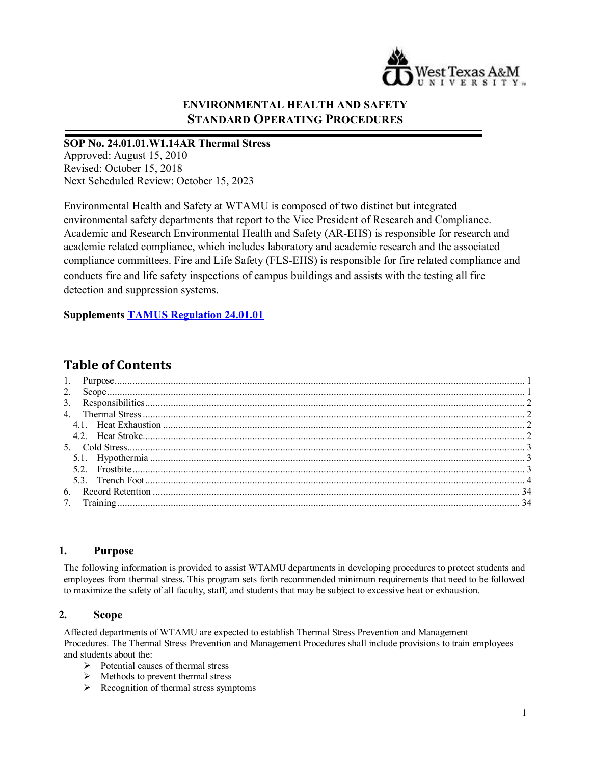

## **ENVIRONMENTAL HEALTH AND SAFETY STANDARD OPERATING PROCEDURES**

**SOP No. 24.01.01.W1.14AR Thermal Stress** Approved: August 15, 2010 Revised: October 15, 2018 Next Scheduled Review: October 15, 2023

Environmental Health and Safety at WTAMU is composed of two distinct but integrated environmental safety departments that report to the Vice President of Research and Compliance. Academic and Research Environmental Health and Safety (AR-EHS) is responsible for research and academic related compliance, which includes laboratory and academic research and the associated compliance committees. Fire and Life Safety (FLS-EHS) is responsible for fire related compliance and conducts fire and life safety inspections of campus buildings and assists with the testing all fire detection and suppression systems.

**Supplements [TAMUS Regulation 24.01.01](http://policies.tamus.edu/24-01-01.pdf)**

# **Table of Contents**

#### <span id="page-0-0"></span>**1. Purpose**

The following information is provided to assist WTAMU departments in developing procedures to protect students and employees from thermal stress. This program sets forth recommended minimum requirements that need to be followed to maximize the safety of all faculty, staff, and students that may be subject to excessive heat or exhaustion.

### <span id="page-0-1"></span>**2. Scope**

Affected departments of WTAMU are expected to establish Thermal Stress Prevention and Management Procedures. The Thermal Stress Prevention and Management Procedures shall include provisions to train employees and students about the:

- $\triangleright$  Potential causes of thermal stress
- $\triangleright$  Methods to prevent thermal stress
- $\triangleright$  Recognition of thermal stress symptoms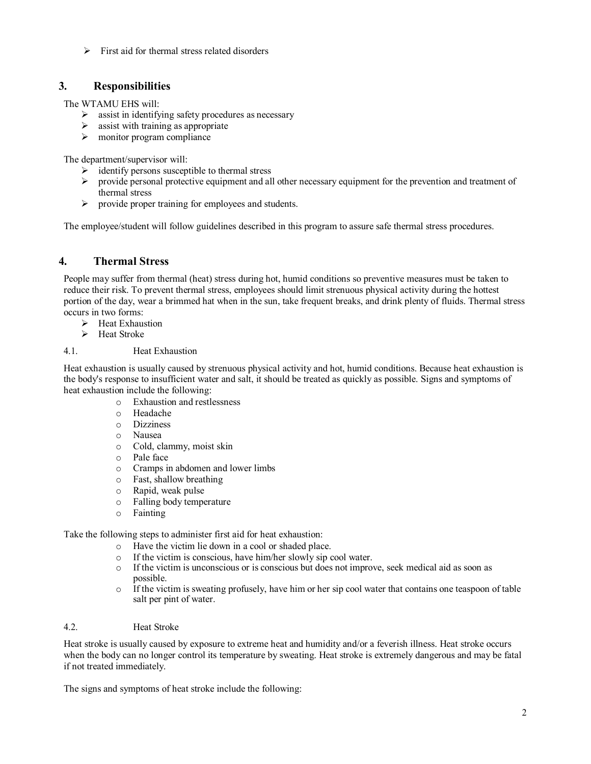$\triangleright$  First aid for thermal stress related disorders

### <span id="page-1-0"></span>**3. Responsibilities**

The WTAMU EHS will:

- $\triangleright$  assist in identifying safety procedures as necessary
- $\triangleright$  assist with training as appropriate
- $\triangleright$  monitor program compliance

The department/supervisor will:

- identify persons susceptible to thermal stress
- $\triangleright$  provide personal protective equipment and all other necessary equipment for the prevention and treatment of thermal stress
- $\triangleright$  provide proper training for employees and students.

The employee/student will follow guidelines described in this program to assure safe thermal stress procedures.

### <span id="page-1-1"></span>**4. Thermal Stress**

People may suffer from thermal (heat) stress during hot, humid conditions so preventive measures must be taken to reduce their risk. To prevent thermal stress, employees should limit strenuous physical activity during the hottest portion of the day, wear a brimmed hat when in the sun, take frequent breaks, and drink plenty of fluids. Thermal stress occurs in two forms:

- $\blacktriangleright$  Heat Exhaustion
- $\triangleright$  Heat Stroke

#### <span id="page-1-2"></span>4.1. Heat Exhaustion

Heat exhaustion is usually caused by strenuous physical activity and hot, humid conditions. Because heat exhaustion is the body's response to insufficient water and salt, it should be treated as quickly as possible. Signs and symptoms of heat exhaustion include the following:

- o Exhaustion and restlessness
- o Headache
- o Dizziness
- o Nausea
- o Cold, clammy, moist skin
- o Pale face
- o Cramps in abdomen and lower limbs
- o Fast, shallow breathing
- o Rapid, weak pulse
- o Falling body temperature
- o Fainting

Take the following steps to administer first aid for heat exhaustion:

- o Have the victim lie down in a cool or shaded place.
- o If the victim is conscious, have him/her slowly sip cool water.
- o If the victim is unconscious or is conscious but does not improve, seek medical aid as soon as possible.
- o If the victim is sweating profusely, have him or her sip cool water that contains one teaspoon of table salt per pint of water.

#### <span id="page-1-3"></span>4.2. Heat Stroke

Heat stroke is usually caused by exposure to extreme heat and humidity and/or a feverish illness. Heat stroke occurs when the body can no longer control its temperature by sweating. Heat stroke is extremely dangerous and may be fatal if not treated immediately.

The signs and symptoms of heat stroke include the following: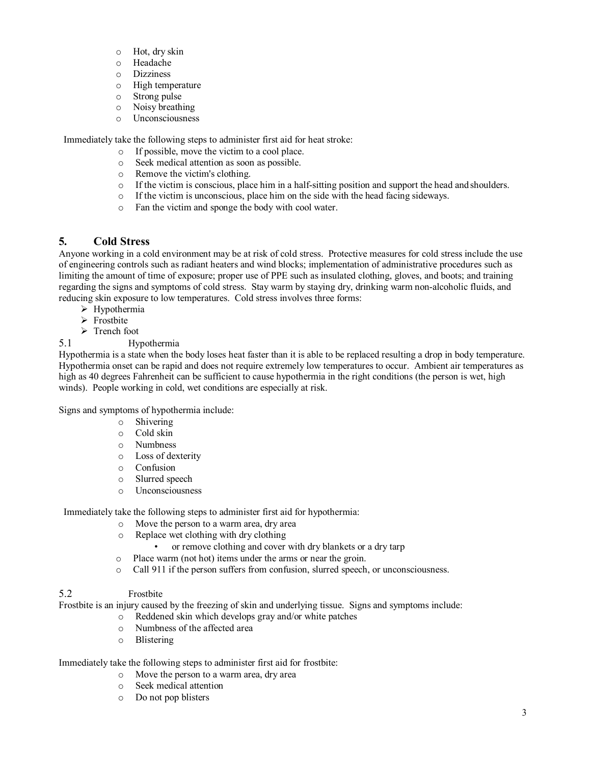- o Hot, dry skin
- o Headache
- o Dizziness
- o High temperature
- o Strong pulse
- o Noisy breathing
- o Unconsciousness

Immediately take the following steps to administer first aid for heat stroke:

- o If possible, move the victim to a cool place.
- $\circ$  Seek medical attention as soon as possible.<br>  $\circ$  Remove the victim's clothing
- Remove the victim's clothing.
- o If the victim is conscious, place him in a half-sitting position and support the head andshoulders.
- o If the victim is unconscious, place him on the side with the head facing sideways.
- o Fan the victim and sponge the body with cool water.

## <span id="page-2-0"></span>**5. Cold Stress**

Anyone working in a cold environment may be at risk of cold stress. Protective measures for cold stress include the use of engineering controls such as radiant heaters and wind blocks; implementation of administrative procedures such as limiting the amount of time of exposure; proper use of PPE such as insulated clothing, gloves, and boots; and training regarding the signs and symptoms of cold stress. Stay warm by staying dry, drinking warm non-alcoholic fluids, and reducing skin exposure to low temperatures. Cold stress involves three forms:

- $\triangleright$  Hypothermia
- $\triangleright$  Frostbite
- $\triangleright$  Trench foot

### 5.1 Hypothermia

Hypothermia is a state when the body loses heat faster than it is able to be replaced resulting a drop in body temperature. Hypothermia onset can be rapid and does not require extremely low temperatures to occur. Ambient air temperatures as high as 40 degrees Fahrenheit can be sufficient to cause hypothermia in the right conditions (the person is wet, high winds). People working in cold, wet conditions are especially at risk.

Signs and symptoms of hypothermia include:

- o Shivering
- o Cold skin
- o Numbness
- o Loss of dexterity
- o Confusion
- o Slurred speech
- o Unconsciousness

Immediately take the following steps to administer first aid for hypothermia:

- o Move the person to a warm area, dry area
- o Replace wet clothing with dry clothing
	- or remove clothing and cover with dry blankets or a dry tarp
- o Place warm (not hot) items under the arms or near the groin.
- o Call 911 if the person suffers from confusion, slurred speech, or unconsciousness.

### 5.2 Frostbite

Frostbite is an injury caused by the freezing of skin and underlying tissue. Signs and symptoms include:

- o Reddened skin which develops gray and/or white patches
- o Numbness of the affected area
- o Blistering

Immediately take the following steps to administer first aid for frostbite:

- o Move the person to a warm area, dry area
- o Seek medical attention
- o Do not pop blisters